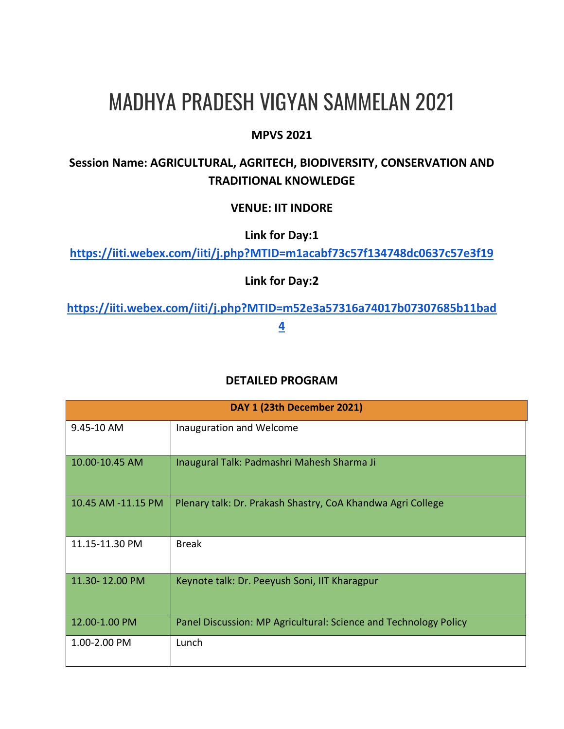# MADHYA PRADESH VIGYAN SAMMELAN 2021

## **MPVS 2021**

## **Session Name: AGRICULTURAL, AGRITECH, BIODIVERSITY, CONSERVATION AND TRADITIONAL KNOWLEDGE**

### **VENUE: IIT INDORE**

**Link for Day:1** 

**<https://iiti.webex.com/iiti/j.php?MTID=m1acabf73c57f134748dc0637c57e3f19>**

**Link for Day:2**

**[https://iiti.webex.com/iiti/j.php?MTID=m52e3a57316a74017b07307685b11bad](https://iiti.webex.com/iiti/j.php?MTID=m52e3a57316a74017b07307685b11bad4) [4](https://iiti.webex.com/iiti/j.php?MTID=m52e3a57316a74017b07307685b11bad4)**

### **DETAILED PROGRAM**

| DAY 1 (23th December 2021) |                                                                  |  |
|----------------------------|------------------------------------------------------------------|--|
| 9.45-10 AM                 | Inauguration and Welcome                                         |  |
| 10.00-10.45 AM             | Inaugural Talk: Padmashri Mahesh Sharma Ji                       |  |
| 10.45 AM -11.15 PM         | Plenary talk: Dr. Prakash Shastry, CoA Khandwa Agri College      |  |
| 11.15-11.30 PM             | <b>Break</b>                                                     |  |
| 11.30-12.00 PM             | Keynote talk: Dr. Peeyush Soni, IIT Kharagpur                    |  |
| 12.00-1.00 PM              | Panel Discussion: MP Agricultural: Science and Technology Policy |  |
| 1.00-2.00 PM               | Lunch                                                            |  |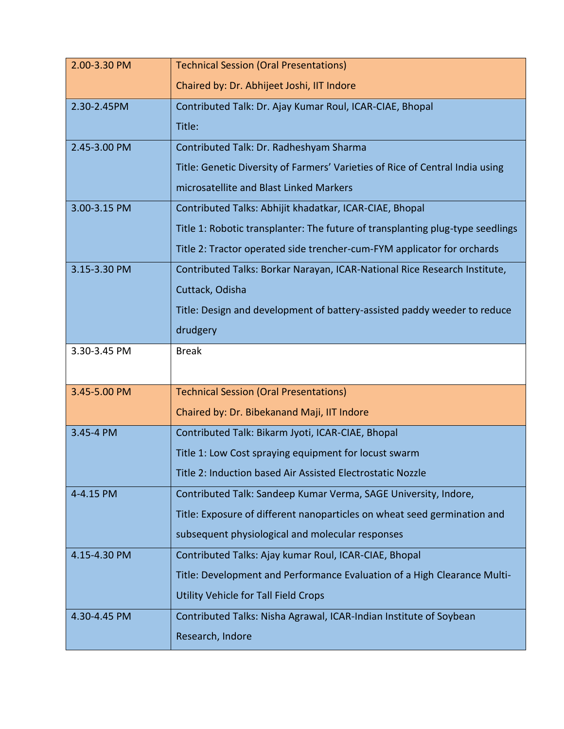| 2.00-3.30 PM | <b>Technical Session (Oral Presentations)</b>                                  |
|--------------|--------------------------------------------------------------------------------|
|              | Chaired by: Dr. Abhijeet Joshi, IIT Indore                                     |
| 2.30-2.45PM  | Contributed Talk: Dr. Ajay Kumar Roul, ICAR-CIAE, Bhopal                       |
|              | Title:                                                                         |
| 2.45-3.00 PM | Contributed Talk: Dr. Radheshyam Sharma                                        |
|              | Title: Genetic Diversity of Farmers' Varieties of Rice of Central India using  |
|              | microsatellite and Blast Linked Markers                                        |
| 3.00-3.15 PM | Contributed Talks: Abhijit khadatkar, ICAR-CIAE, Bhopal                        |
|              | Title 1: Robotic transplanter: The future of transplanting plug-type seedlings |
|              | Title 2: Tractor operated side trencher-cum-FYM applicator for orchards        |
| 3.15-3.30 PM | Contributed Talks: Borkar Narayan, ICAR-National Rice Research Institute,      |
|              | Cuttack, Odisha                                                                |
|              | Title: Design and development of battery-assisted paddy weeder to reduce       |
|              | drudgery                                                                       |
| 3.30-3.45 PM | <b>Break</b>                                                                   |
|              |                                                                                |
| 3.45-5.00 PM | <b>Technical Session (Oral Presentations)</b>                                  |
|              | Chaired by: Dr. Bibekanand Maji, IIT Indore                                    |
| 3.45-4 PM    | Contributed Talk: Bikarm Jyoti, ICAR-CIAE, Bhopal                              |
|              | Title 1: Low Cost spraying equipment for locust swarm                          |
|              | Title 2: Induction based Air Assisted Electrostatic Nozzle                     |
| 4-4.15 PM    | Contributed Talk: Sandeep Kumar Verma, SAGE University, Indore,                |
|              | Title: Exposure of different nanoparticles on wheat seed germination and       |
|              | subsequent physiological and molecular responses                               |
| 4.15-4.30 PM | Contributed Talks: Ajay kumar Roul, ICAR-CIAE, Bhopal                          |
|              | Title: Development and Performance Evaluation of a High Clearance Multi-       |
|              | Utility Vehicle for Tall Field Crops                                           |
| 4.30-4.45 PM | Contributed Talks: Nisha Agrawal, ICAR-Indian Institute of Soybean             |
|              | Research, Indore                                                               |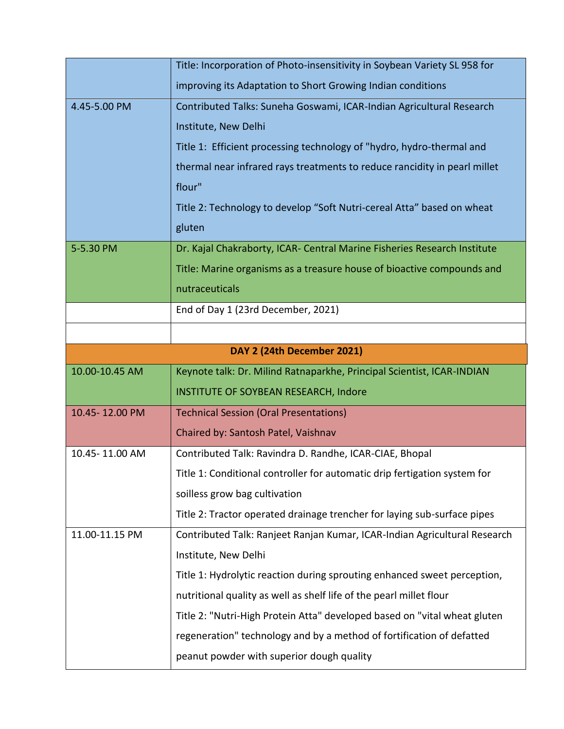|                | Title: Incorporation of Photo-insensitivity in Soybean Variety SL 958 for |
|----------------|---------------------------------------------------------------------------|
|                | improving its Adaptation to Short Growing Indian conditions               |
| 4.45-5.00 PM   | Contributed Talks: Suneha Goswami, ICAR-Indian Agricultural Research      |
|                | Institute, New Delhi                                                      |
|                | Title 1: Efficient processing technology of "hydro, hydro-thermal and     |
|                | thermal near infrared rays treatments to reduce rancidity in pearl millet |
|                | flour"                                                                    |
|                | Title 2: Technology to develop "Soft Nutri-cereal Atta" based on wheat    |
|                | gluten                                                                    |
| 5-5.30 PM      | Dr. Kajal Chakraborty, ICAR- Central Marine Fisheries Research Institute  |
|                | Title: Marine organisms as a treasure house of bioactive compounds and    |
|                | nutraceuticals                                                            |
|                | End of Day 1 (23rd December, 2021)                                        |
|                |                                                                           |
|                | DAY 2 (24th December 2021)                                                |
| 10.00-10.45 AM | Keynote talk: Dr. Milind Ratnaparkhe, Principal Scientist, ICAR-INDIAN    |
|                | <b>INSTITUTE OF SOYBEAN RESEARCH, Indore</b>                              |
| 10.45-12.00 PM | <b>Technical Session (Oral Presentations)</b>                             |
|                | Chaired by: Santosh Patel, Vaishnav                                       |
| 10.45-11.00 AM | Contributed Talk: Ravindra D. Randhe, ICAR-CIAE, Bhopal                   |
|                |                                                                           |
|                | Title 1: Conditional controller for automatic drip fertigation system for |
|                | soilless grow bag cultivation                                             |
|                | Title 2: Tractor operated drainage trencher for laying sub-surface pipes  |
| 11.00-11.15 PM | Contributed Talk: Ranjeet Ranjan Kumar, ICAR-Indian Agricultural Research |
|                | Institute, New Delhi                                                      |
|                | Title 1: Hydrolytic reaction during sprouting enhanced sweet perception,  |
|                | nutritional quality as well as shelf life of the pearl millet flour       |
|                | Title 2: "Nutri-High Protein Atta" developed based on "vital wheat gluten |
|                | regeneration" technology and by a method of fortification of defatted     |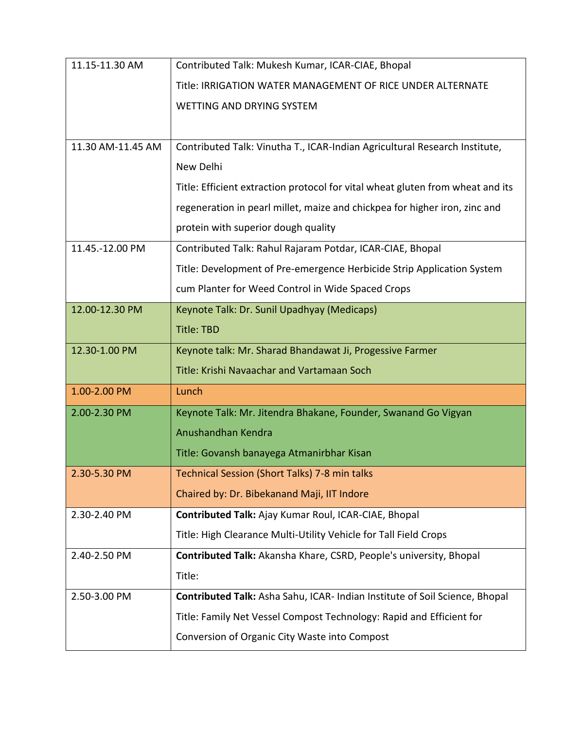| 11.15-11.30 AM    | Contributed Talk: Mukesh Kumar, ICAR-CIAE, Bhopal                              |
|-------------------|--------------------------------------------------------------------------------|
|                   | Title: IRRIGATION WATER MANAGEMENT OF RICE UNDER ALTERNATE                     |
|                   | <b>WETTING AND DRYING SYSTEM</b>                                               |
|                   |                                                                                |
| 11.30 AM-11.45 AM | Contributed Talk: Vinutha T., ICAR-Indian Agricultural Research Institute,     |
|                   | New Delhi                                                                      |
|                   | Title: Efficient extraction protocol for vital wheat gluten from wheat and its |
|                   | regeneration in pearl millet, maize and chickpea for higher iron, zinc and     |
|                   | protein with superior dough quality                                            |
| 11.45.-12.00 PM   | Contributed Talk: Rahul Rajaram Potdar, ICAR-CIAE, Bhopal                      |
|                   | Title: Development of Pre-emergence Herbicide Strip Application System         |
|                   | cum Planter for Weed Control in Wide Spaced Crops                              |
| 12.00-12.30 PM    | Keynote Talk: Dr. Sunil Upadhyay (Medicaps)                                    |
|                   | <b>Title: TBD</b>                                                              |
| 12.30-1.00 PM     | Keynote talk: Mr. Sharad Bhandawat Ji, Progessive Farmer                       |
|                   | Title: Krishi Navaachar and Vartamaan Soch                                     |
| 1.00-2.00 PM      | Lunch                                                                          |
| 2.00-2.30 PM      | Keynote Talk: Mr. Jitendra Bhakane, Founder, Swanand Go Vigyan                 |
|                   | Anushandhan Kendra                                                             |
|                   | Title: Govansh banayega Atmanirbhar Kisan                                      |
| 2.30-5.30 PM      | Technical Session (Short Talks) 7-8 min talks                                  |
|                   | Chaired by: Dr. Bibekanand Maji, IIT Indore                                    |
| 2.30-2.40 PM      | Contributed Talk: Ajay Kumar Roul, ICAR-CIAE, Bhopal                           |
|                   | Title: High Clearance Multi-Utility Vehicle for Tall Field Crops               |
| 2.40-2.50 PM      | Contributed Talk: Akansha Khare, CSRD, People's university, Bhopal             |
|                   | Title:                                                                         |
| 2.50-3.00 PM      | Contributed Talk: Asha Sahu, ICAR- Indian Institute of Soil Science, Bhopal    |
|                   | Title: Family Net Vessel Compost Technology: Rapid and Efficient for           |
|                   | Conversion of Organic City Waste into Compost                                  |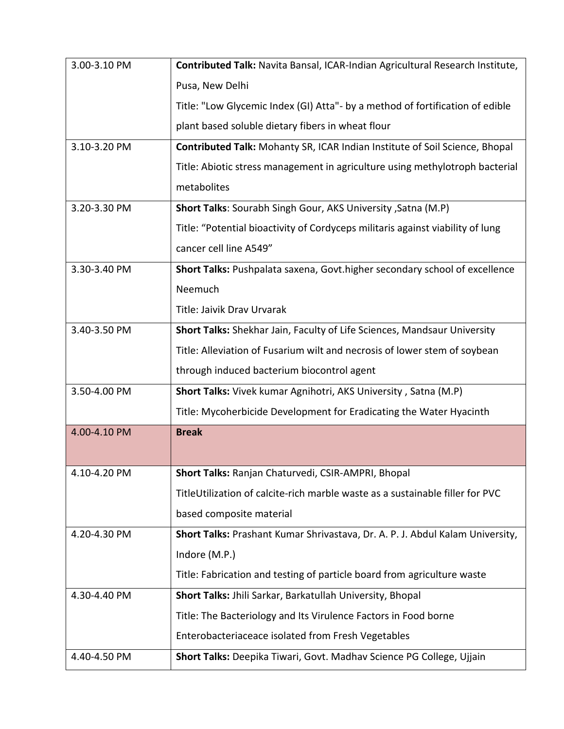| 3.00-3.10 PM | Contributed Talk: Navita Bansal, ICAR-Indian Agricultural Research Institute,  |
|--------------|--------------------------------------------------------------------------------|
|              | Pusa, New Delhi                                                                |
|              | Title: "Low Glycemic Index (GI) Atta"- by a method of fortification of edible  |
|              | plant based soluble dietary fibers in wheat flour                              |
| 3.10-3.20 PM | Contributed Talk: Mohanty SR, ICAR Indian Institute of Soil Science, Bhopal    |
|              | Title: Abiotic stress management in agriculture using methylotroph bacterial   |
|              | metabolites                                                                    |
| 3.20-3.30 PM | Short Talks: Sourabh Singh Gour, AKS University, Satna (M.P)                   |
|              | Title: "Potential bioactivity of Cordyceps militaris against viability of lung |
|              | cancer cell line A549"                                                         |
| 3.30-3.40 PM | Short Talks: Pushpalata saxena, Govt.higher secondary school of excellence     |
|              | Neemuch                                                                        |
|              | <b>Title: Jaivik Dray Urvarak</b>                                              |
| 3.40-3.50 PM | Short Talks: Shekhar Jain, Faculty of Life Sciences, Mandsaur University       |
|              | Title: Alleviation of Fusarium wilt and necrosis of lower stem of soybean      |
|              | through induced bacterium biocontrol agent                                     |
| 3.50-4.00 PM | Short Talks: Vivek kumar Agnihotri, AKS University, Satna (M.P)                |
|              | Title: Mycoherbicide Development for Eradicating the Water Hyacinth            |
| 4.00-4.10 PM | <b>Break</b>                                                                   |
|              |                                                                                |
| 4.10-4.20 PM | Short Talks: Ranjan Chaturvedi, CSIR-AMPRI, Bhopal                             |
|              | TitleUtilization of calcite-rich marble waste as a sustainable filler for PVC  |
|              | based composite material                                                       |
| 4.20-4.30 PM | Short Talks: Prashant Kumar Shrivastava, Dr. A. P. J. Abdul Kalam University,  |
|              | Indore (M.P.)                                                                  |
|              | Title: Fabrication and testing of particle board from agriculture waste        |
| 4.30-4.40 PM | Short Talks: Jhili Sarkar, Barkatullah University, Bhopal                      |
|              | Title: The Bacteriology and Its Virulence Factors in Food borne                |
|              | Enterobacteriaceace isolated from Fresh Vegetables                             |
| 4.40-4.50 PM | Short Talks: Deepika Tiwari, Govt. Madhav Science PG College, Ujjain           |